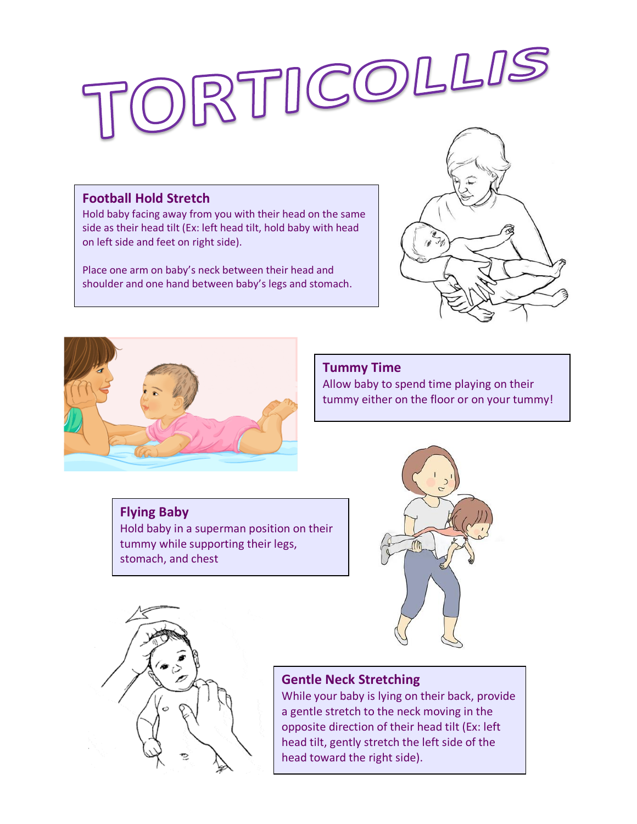# ORTICOLLIS

## **Football Hold Stretch**

Hold baby facing away from you with their head on the same side as their head tilt (Ex: left head tilt, hold baby with head on left side and feet on right side).

Place one arm on baby's neck between their head and shoulder and one hand between baby's legs and stomach.





## **Tummy Time**

Allow baby to spend time playing on their tummy either on the floor or on your tummy!

# **Flying Baby**

Hold baby in a superman position on their tummy while supporting their legs, stomach, and chest





# **Gentle Neck Stretching**

While your baby is lying on their back, provide a gentle stretch to the neck moving in the opposite direction of their head tilt (Ex: left head tilt, gently stretch the left side of the head toward the right side).